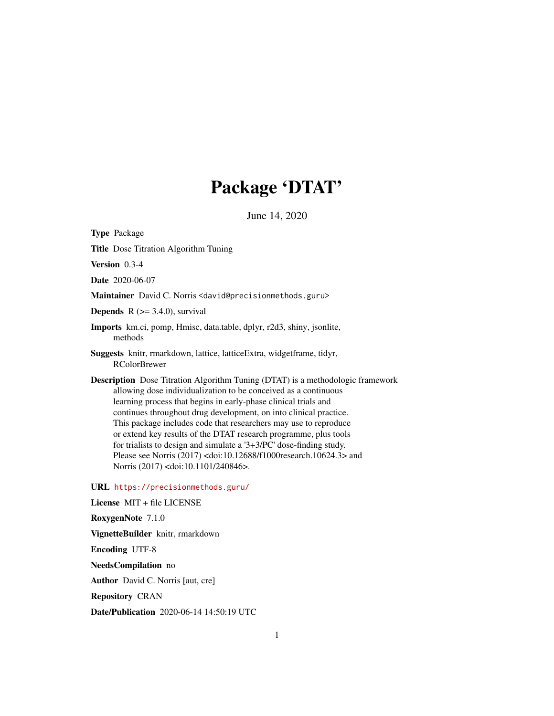# Package 'DTAT'

June 14, 2020

<span id="page-0-0"></span>Type Package

Title Dose Titration Algorithm Tuning

Version 0.3-4

Date 2020-06-07

Maintainer David C. Norris <david@precisionmethods.guru>

**Depends**  $R$  ( $>= 3.4.0$ ), survival

Imports km.ci, pomp, Hmisc, data.table, dplyr, r2d3, shiny, jsonlite, methods

Suggests knitr, rmarkdown, lattice, latticeExtra, widgetframe, tidyr, RColorBrewer

Description Dose Titration Algorithm Tuning (DTAT) is a methodologic framework allowing dose individualization to be conceived as a continuous learning process that begins in early-phase clinical trials and continues throughout drug development, on into clinical practice. This package includes code that researchers may use to reproduce or extend key results of the DTAT research programme, plus tools for trialists to design and simulate a '3+3/PC' dose-finding study. Please see Norris (2017) <doi:10.12688/f1000research.10624.3> and Norris (2017) <doi:10.1101/240846>.

URL <https://precisionmethods.guru/>

License MIT + file LICENSE RoxygenNote 7.1.0 VignetteBuilder knitr, rmarkdown Encoding UTF-8 NeedsCompilation no Author David C. Norris [aut, cre] Repository CRAN Date/Publication 2020-06-14 14:50:19 UTC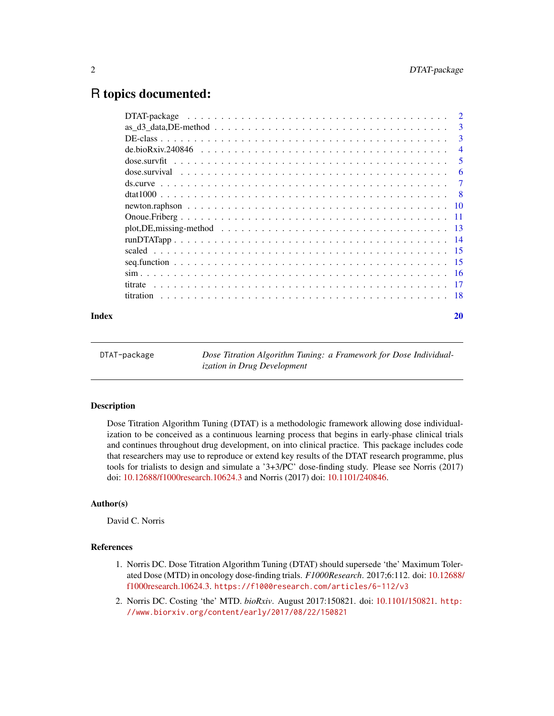# <span id="page-1-0"></span>R topics documented:

|       | $\overline{\phantom{a}3}$ |
|-------|---------------------------|
|       | $\overline{4}$            |
|       |                           |
|       | -6                        |
|       |                           |
|       |                           |
|       |                           |
|       |                           |
|       |                           |
|       |                           |
|       |                           |
|       |                           |
|       |                           |
|       |                           |
|       |                           |
| Index | 20                        |

| DTAT-package | Dose Titration Algorithm Tuning: a Framework for Dose Individual-<br><i>ization in Drug Development</i> |
|--------------|---------------------------------------------------------------------------------------------------------|
|              |                                                                                                         |

# Description

Dose Titration Algorithm Tuning (DTAT) is a methodologic framework allowing dose individualization to be conceived as a continuous learning process that begins in early-phase clinical trials and continues throughout drug development, on into clinical practice. This package includes code that researchers may use to reproduce or extend key results of the DTAT research programme, plus tools for trialists to design and simulate a '3+3/PC' dose-finding study. Please see Norris (2017) doi: [10.12688/f1000research.10624.3](https://doi.org/10.12688/f1000research.10624.3) and Norris (2017) doi: [10.1101/240846.](https://doi.org/10.1101/240846)

# Author(s)

David C. Norris

# References

- 1. Norris DC. Dose Titration Algorithm Tuning (DTAT) should supersede 'the' Maximum Tolerated Dose (MTD) in oncology dose-finding trials. *F1000Research*. 2017;6:112. doi: [10.12688/](https://doi.org/10.12688/f1000research.10624.3) [f1000research.10624.3.](https://doi.org/10.12688/f1000research.10624.3) <https://f1000research.com/articles/6-112/v3>
- 2. Norris DC. Costing 'the' MTD. *bioRxiv*. August 2017:150821. doi: [10.1101/150821.](https://doi.org/10.1101/150821) [http:](http://www.biorxiv.org/content/early/2017/08/22/150821) [//www.biorxiv.org/content/early/2017/08/22/150821](http://www.biorxiv.org/content/early/2017/08/22/150821)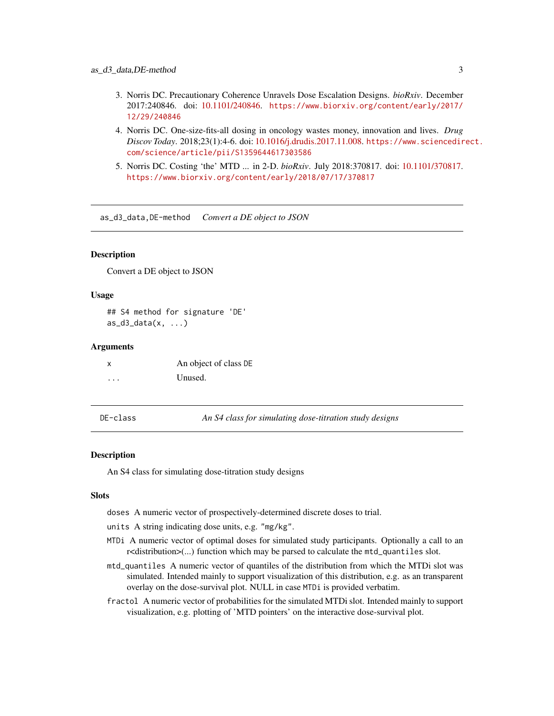- <span id="page-2-0"></span>3. Norris DC. Precautionary Coherence Unravels Dose Escalation Designs. *bioRxiv*. December 2017:240846. doi: [10.1101/240846.](https://doi.org/10.1101/240846) [https://www.biorxiv.org/content/early/2017/](https://www.biorxiv.org/content/early/2017/12/29/240846) [12/29/240846](https://www.biorxiv.org/content/early/2017/12/29/240846)
- 4. Norris DC. One-size-fits-all dosing in oncology wastes money, innovation and lives. *Drug Discov Today*. 2018;23(1):4-6. doi: [10.1016/j.drudis.2017.11.008.](https://doi.org/10.1016/j.drudis.2017.11.008) [https://www.sciencedir](https://www.sciencedirect.com/science/article/pii/S1359644617303586)ect. [com/science/article/pii/S1359644617303586](https://www.sciencedirect.com/science/article/pii/S1359644617303586)
- 5. Norris DC. Costing 'the' MTD ... in 2-D. *bioRxiv*. July 2018:370817. doi: [10.1101/370817.](https://doi.org/10.1101/370817) <https://www.biorxiv.org/content/early/2018/07/17/370817>

as\_d3\_data,DE-method *Convert a DE object to JSON*

#### Description

Convert a DE object to JSON

#### Usage

## S4 method for signature 'DE'  $as_d3_data(x, \ldots)$ 

#### Arguments

| x | An object of class DE |
|---|-----------------------|
| . | Unused.               |

<span id="page-2-1"></span>DE-class *An S4 class for simulating dose-titration study designs*

#### Description

An S4 class for simulating dose-titration study designs

#### **Slots**

doses A numeric vector of prospectively-determined discrete doses to trial.

- units A string indicating dose units, e.g. "mg/kg".
- MTDi A numeric vector of optimal doses for simulated study participants. Optionally a call to an r<distribution>(...) function which may be parsed to calculate the mtd\_quantiles slot.
- mtd\_quantiles A numeric vector of quantiles of the distribution from which the MTDi slot was simulated. Intended mainly to support visualization of this distribution, e.g. as an transparent overlay on the dose-survival plot. NULL in case MTDi is provided verbatim.
- fractol A numeric vector of probabilities for the simulated MTDi slot. Intended mainly to support visualization, e.g. plotting of 'MTD pointers' on the interactive dose-survival plot.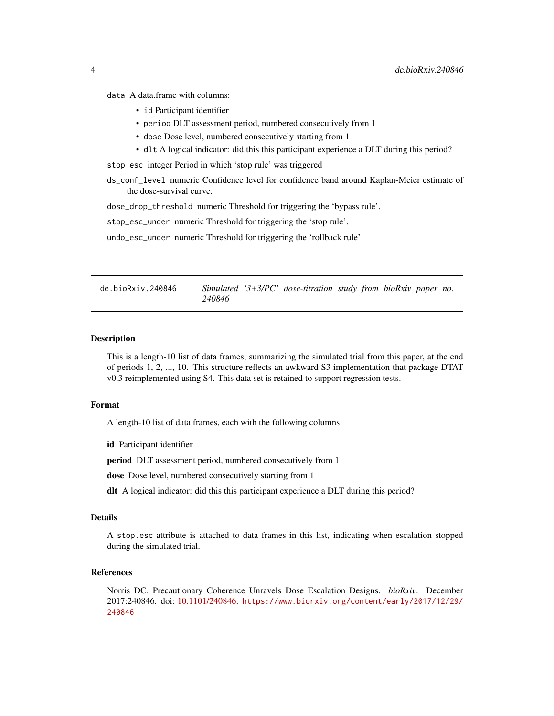<span id="page-3-0"></span>data A data.frame with columns:

- id Participant identifier
- period DLT assessment period, numbered consecutively from 1
- dose Dose level, numbered consecutively starting from 1
- dlt A logical indicator: did this this participant experience a DLT during this period?

stop\_esc integer Period in which 'stop rule' was triggered

ds\_conf\_level numeric Confidence level for confidence band around Kaplan-Meier estimate of the dose-survival curve.

dose\_drop\_threshold numeric Threshold for triggering the 'bypass rule'.

stop\_esc\_under numeric Threshold for triggering the 'stop rule'.

undo\_esc\_under numeric Threshold for triggering the 'rollback rule'.

de.bioRxiv.240846 *Simulated '3+3/PC' dose-titration study from bioRxiv paper no. 240846*

#### Description

This is a length-10 list of data frames, summarizing the simulated trial from this paper, at the end of periods 1, 2, ..., 10. This structure reflects an awkward S3 implementation that package DTAT v0.3 reimplemented using S4. This data set is retained to support regression tests.

# Format

A length-10 list of data frames, each with the following columns:

id Participant identifier

period DLT assessment period, numbered consecutively from 1

dose Dose level, numbered consecutively starting from 1

dlt A logical indicator: did this this participant experience a DLT during this period?

#### Details

A stop.esc attribute is attached to data frames in this list, indicating when escalation stopped during the simulated trial.

#### References

Norris DC. Precautionary Coherence Unravels Dose Escalation Designs. *bioRxiv*. December 2017:240846. doi: [10.1101/240846.](https://doi.org/10.1101/240846) [https://www.biorxiv.org/content/early/2017/12/29/](https://www.biorxiv.org/content/early/2017/12/29/240846) [240846](https://www.biorxiv.org/content/early/2017/12/29/240846)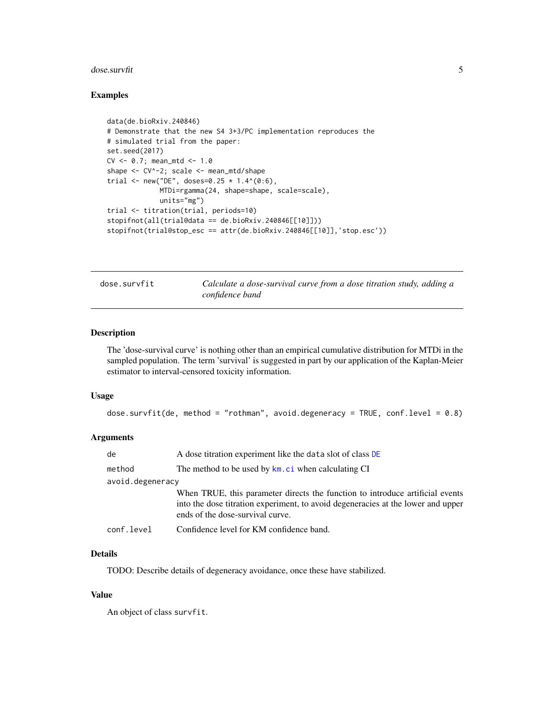#### <span id="page-4-0"></span>dose.survfit 5

#### Examples

```
data(de.bioRxiv.240846)
# Demonstrate that the new S4 3+3/PC implementation reproduces the
# simulated trial from the paper:
set.seed(2017)
CV \le 0.7; mean_mtd \le -1.0shape <- CV^-2; scale <- mean_mtd/shape
trial <- new("DE", doses=0.25 * 1.4^*(0:6),
             MTDi=rgamma(24, shape=shape, scale=scale),
             units="mg")
trial <- titration(trial, periods=10)
stopifnot(all(trial@data == de.bioRxiv.240846[[10]]))
stopifnot(trial@stop_esc == attr(de.bioRxiv.240846[[10]],'stop.esc'))
```
<span id="page-4-1"></span>dose.survfit *Calculate a dose-survival curve from a dose titration study, adding a confidence band*

# Description

The 'dose-survival curve' is nothing other than an empirical cumulative distribution for MTDi in the sampled population. The term 'survival' is suggested in part by our application of the Kaplan-Meier estimator to interval-censored toxicity information.

#### Usage

```
dose.survfit(de, method = "rothman", avoid.degeneracy = TRUE, conf.level = 0.8)
```
# Arguments

| de               | A dose titration experiment like the data slot of class DE                                                                                                                                            |
|------------------|-------------------------------------------------------------------------------------------------------------------------------------------------------------------------------------------------------|
| method           | The method to be used by km. ci when calculating CI                                                                                                                                                   |
| avoid.degeneracy |                                                                                                                                                                                                       |
|                  | When TRUE, this parameter directs the function to introduce artificial events<br>into the dose titration experiment, to avoid degeneracies at the lower and upper<br>ends of the dose-survival curve. |
| conf.level       | Confidence level for KM confidence band.                                                                                                                                                              |

# Details

TODO: Describe details of degeneracy avoidance, once these have stabilized.

# Value

An object of class survfit.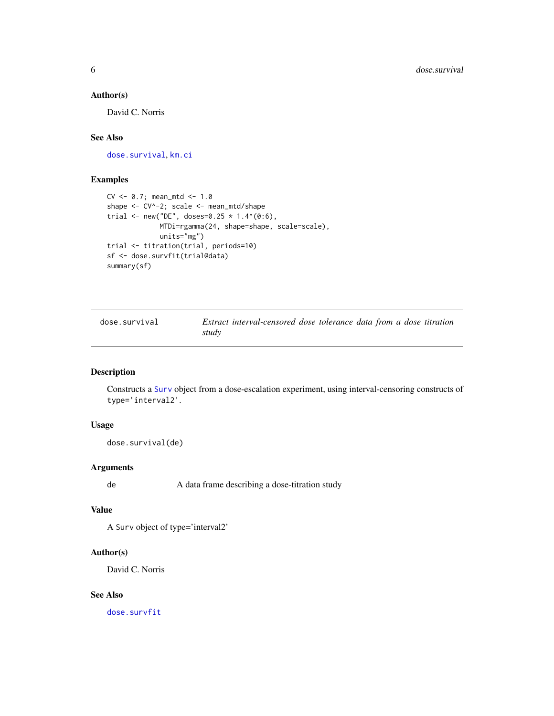# <span id="page-5-0"></span>Author(s)

David C. Norris

# See Also

[dose.survival](#page-5-1), [km.ci](#page-0-0)

# Examples

```
CV <- 0.7; mean_mtd <- 1.0
shape <- CV^-2; scale <- mean_mtd/shape
trial <- new("DE", doses=0.25 * 1.4^(0:6),
             MTDi=rgamma(24, shape=shape, scale=scale),
             units="mg")
trial <- titration(trial, periods=10)
sf <- dose.survfit(trial@data)
summary(sf)
```
<span id="page-5-1"></span>

| dose.survival | Extract interval-censored dose tolerance data from a dose titration |  |  |
|---------------|---------------------------------------------------------------------|--|--|
|               | study                                                               |  |  |

# Description

Constructs a [Surv](#page-0-0) object from a dose-escalation experiment, using interval-censoring constructs of type='interval2'.

#### Usage

```
dose.survival(de)
```
# Arguments

de A data frame describing a dose-titration study

# Value

A Surv object of type='interval2'

# Author(s)

David C. Norris

# See Also

[dose.survfit](#page-4-1)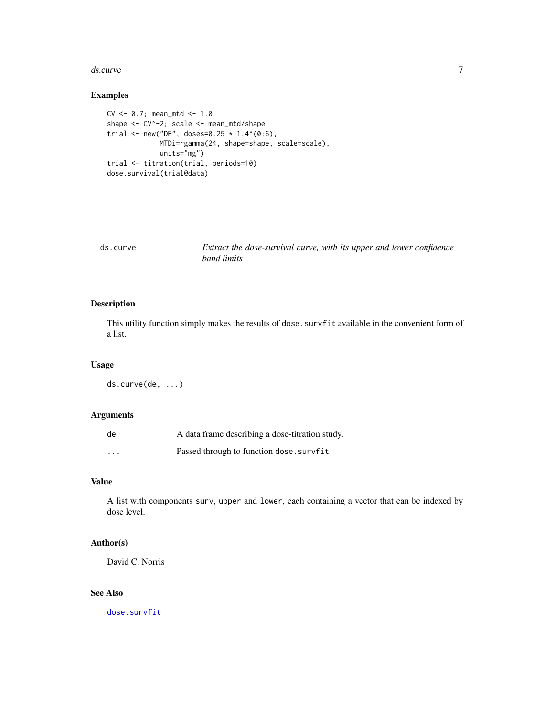#### <span id="page-6-0"></span>ds.curve 7

# Examples

```
CV \le 0.7; mean_mtd \le -1.0shape <- CV^-2; scale <- mean_mtd/shape
trial <- new("DE", doses=0.25 * 1.4^(0:6),
             MTDi=rgamma(24, shape=shape, scale=scale),
             units="mg")
trial <- titration(trial, periods=10)
dose.survival(trial@data)
```

| ds.curve | Extract the dose-survival curve, with its upper and lower confidence<br>band limits |
|----------|-------------------------------------------------------------------------------------|
|          |                                                                                     |

# Description

This utility function simply makes the results of dose. survfit available in the convenient form of a list.

#### Usage

ds.curve(de, ...)

#### Arguments

| de       | A data frame describing a dose-titration study. |
|----------|-------------------------------------------------|
| $\cdots$ | Passed through to function dose.survfit         |

# Value

A list with components surv, upper and lower, each containing a vector that can be indexed by dose level.

# Author(s)

David C. Norris

# See Also

[dose.survfit](#page-4-1)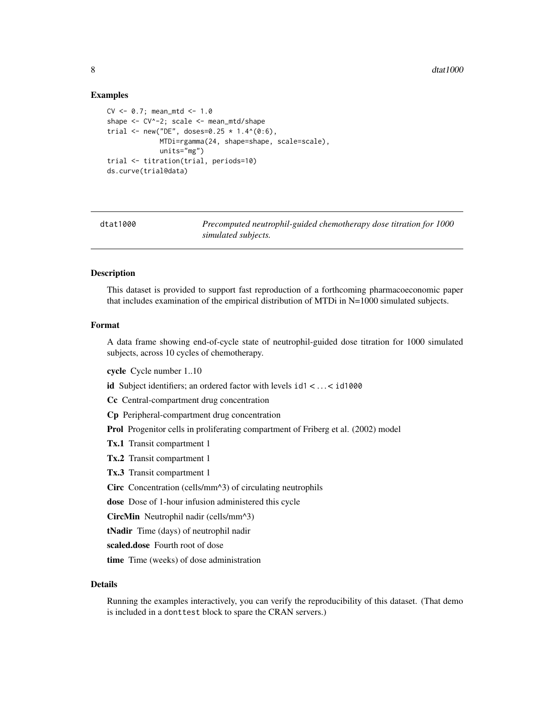#### Examples

```
CV \le 0.7; mean_mtd \le -1.0shape <- CV^-2; scale <- mean_mtd/shape
trial <- new("DE", doses=0.25 * 1.4^(0:6),
             MTDi=rgamma(24, shape=shape, scale=scale),
             units="mg")
trial <- titration(trial, periods=10)
ds.curve(trial@data)
```
dtat1000 *Precomputed neutrophil-guided chemotherapy dose titration for 1000 simulated subjects.*

# **Description**

This dataset is provided to support fast reproduction of a forthcoming pharmacoeconomic paper that includes examination of the empirical distribution of MTDi in N=1000 simulated subjects.

#### Format

A data frame showing end-of-cycle state of neutrophil-guided dose titration for 1000 simulated subjects, across 10 cycles of chemotherapy.

cycle Cycle number 1..10

id Subject identifiers; an ordered factor with levels id1 <... < id1000

Cc Central-compartment drug concentration

Cp Peripheral-compartment drug concentration

Prol Progenitor cells in proliferating compartment of Friberg et al. (2002) model

Tx.1 Transit compartment 1

Tx.2 Transit compartment 1

Tx.3 Transit compartment 1

Circ Concentration (cells/mm^3) of circulating neutrophils

dose Dose of 1-hour infusion administered this cycle

CircMin Neutrophil nadir (cells/mm^3)

tNadir Time (days) of neutrophil nadir

scaled.dose Fourth root of dose

time Time (weeks) of dose administration

#### Details

Running the examples interactively, you can verify the reproducibility of this dataset. (That demo is included in a donttest block to spare the CRAN servers.)

<span id="page-7-0"></span>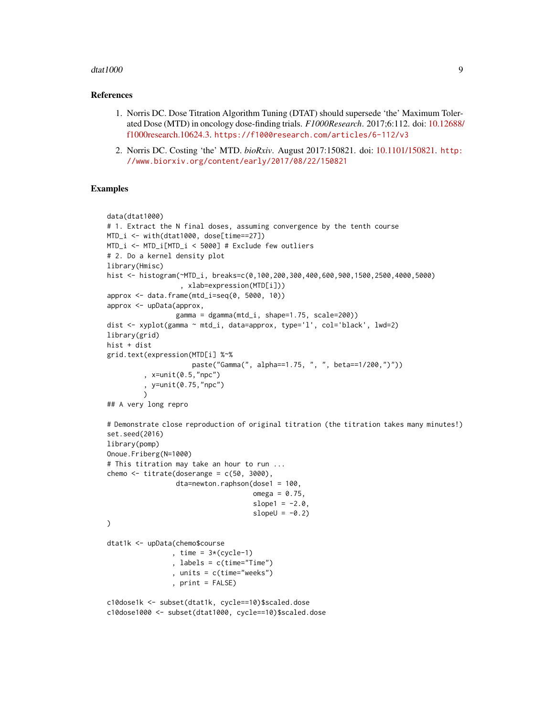#### dtat1000 9

#### References

- 1. Norris DC. Dose Titration Algorithm Tuning (DTAT) should supersede 'the' Maximum Tolerated Dose (MTD) in oncology dose-finding trials. *F1000Research*. 2017;6:112. doi: [10.12688/](https://doi.org/10.12688/f1000research.10624.3) [f1000research.10624.3.](https://doi.org/10.12688/f1000research.10624.3) <https://f1000research.com/articles/6-112/v3>
- 2. Norris DC. Costing 'the' MTD. *bioRxiv*. August 2017:150821. doi: [10.1101/150821.](https://doi.org/10.1101/150821) [http:](http://www.biorxiv.org/content/early/2017/08/22/150821) [//www.biorxiv.org/content/early/2017/08/22/150821](http://www.biorxiv.org/content/early/2017/08/22/150821)

```
data(dtat1000)
# 1. Extract the N final doses, assuming convergence by the tenth course
MTD_i <- with(dtat1000, dose[time==27])
MTD_i <- MTD_i[MTD_i < 5000] # Exclude few outliers
# 2. Do a kernel density plot
library(Hmisc)
hist <- histogram(~MTD_i, breaks=c(0,100,200,300,400,600,900,1500,2500,4000,5000)
                  , xlab=expression(MTD[i]))
approx <- data.frame(mtd_i=seq(0, 5000, 10))
approx <- upData(approx,
                 gamma = dgamma(mtd_i, shape=1.75, scale=200))
dist <- xyplot(gamma ~ mtd_i, data=approx, type='l', col='black', lwd=2)
library(grid)
hist + dist
grid.text(expression(MTD[i] %~%
                     paste("Gamma(", alpha==1.75, ", ", beta==1/200,")"))
         , x=unit(0.5,"npc")
         , y=unit(0.75,"npc")
         )
## A very long repro
# Demonstrate close reproduction of original titration (the titration takes many minutes!)
set.seed(2016)
library(pomp)
Onoue.Friberg(N=1000)
# This titration may take an hour to run ...
chemo \le titrate(doserange = c(50, 3000),
                 dta=newton.raphson(dose1 = 100,
                                    omega = 0.75,
                                    slope1 = -2.0,
                                    slopeU = -0.2\lambdadtat1k <- upData(chemo$course
                , time = 3*(cycle-1), labels = c(time="Time")
                , units = c(time="weeks")
                , print = FALSE)
c10dose1k <- subset(dtat1k, cycle==10)$scaled.dose
c10dose1000 <- subset(dtat1000, cycle==10)$scaled.dose
```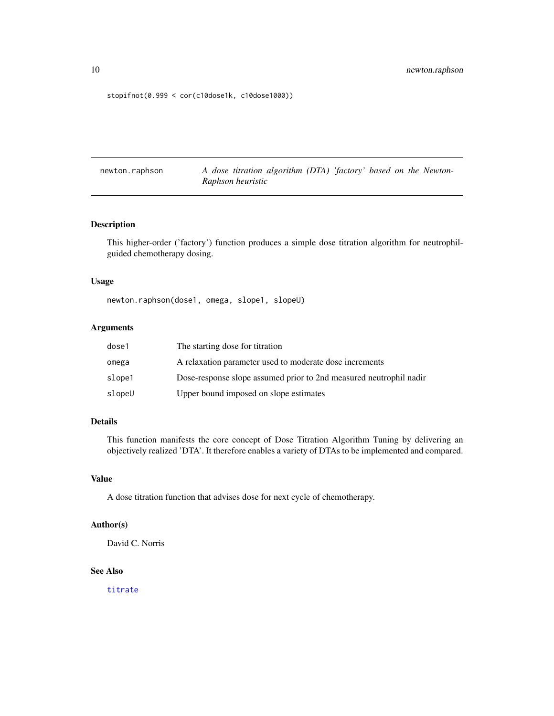```
stopifnot(0.999 < cor(c10dose1k, c10dose1000))
```
newton.raphson *A dose titration algorithm (DTA) 'factory' based on the Newton-Raphson heuristic*

# Description

This higher-order ('factory') function produces a simple dose titration algorithm for neutrophilguided chemotherapy dosing.

#### Usage

newton.raphson(dose1, omega, slope1, slopeU)

# Arguments

| dose1  | The starting dose for titration                                    |
|--------|--------------------------------------------------------------------|
| omega  | A relaxation parameter used to moderate dose increments            |
| slope1 | Dose-response slope assumed prior to 2nd measured neutrophil nadir |
| slopeU | Upper bound imposed on slope estimates                             |

# Details

This function manifests the core concept of Dose Titration Algorithm Tuning by delivering an objectively realized 'DTA'. It therefore enables a variety of DTAs to be implemented and compared.

# Value

A dose titration function that advises dose for next cycle of chemotherapy.

#### Author(s)

David C. Norris

# See Also

[titrate](#page-16-1)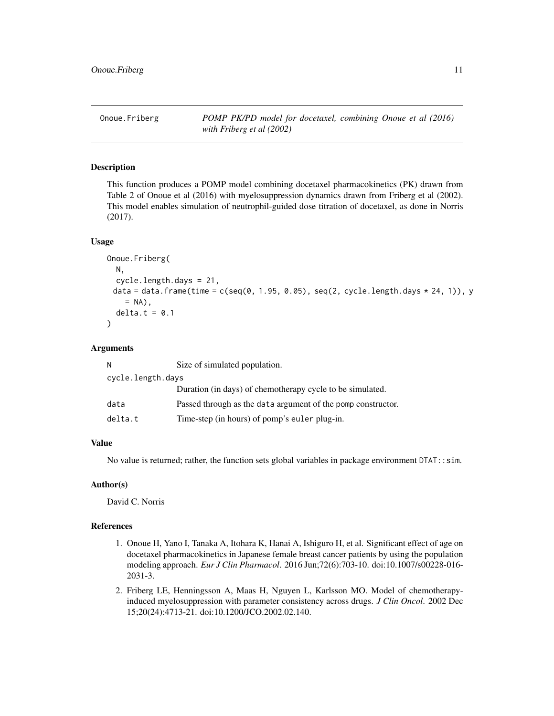<span id="page-10-0"></span>Onoue.Friberg *POMP PK/PD model for docetaxel, combining Onoue et al (2016) with Friberg et al (2002)*

# Description

This function produces a POMP model combining docetaxel pharmacokinetics (PK) drawn from Table 2 of Onoue et al (2016) with myelosuppression dynamics drawn from Friberg et al (2002). This model enables simulation of neutrophil-guided dose titration of docetaxel, as done in Norris (2017).

#### Usage

```
Onoue.Friberg(
  N,
  cycle.length.days = 21,
 data = data.frame(time = c(seq(0, 1.95, 0.05), seq(2, cycle.length.days * 24, 1)), y
    = NA),
  delta.t = 0.1\mathcal{L}
```
# Arguments

| N                 | Size of simulated population.                                |
|-------------------|--------------------------------------------------------------|
| cycle.length.days |                                                              |
|                   | Duration (in days) of chemotherapy cycle to be simulated.    |
| data              | Passed through as the data argument of the pomp constructor. |
| delta.t           | Time-step (in hours) of pomp's euler plug-in.                |

#### Value

No value is returned; rather, the function sets global variables in package environment DTAT:: sim.

#### Author(s)

David C. Norris

# References

- 1. Onoue H, Yano I, Tanaka A, Itohara K, Hanai A, Ishiguro H, et al. Significant effect of age on docetaxel pharmacokinetics in Japanese female breast cancer patients by using the population modeling approach. *Eur J Clin Pharmacol*. 2016 Jun;72(6):703-10. doi:10.1007/s00228-016- 2031-3.
- 2. Friberg LE, Henningsson A, Maas H, Nguyen L, Karlsson MO. Model of chemotherapyinduced myelosuppression with parameter consistency across drugs. *J Clin Oncol*. 2002 Dec 15;20(24):4713-21. doi:10.1200/JCO.2002.02.140.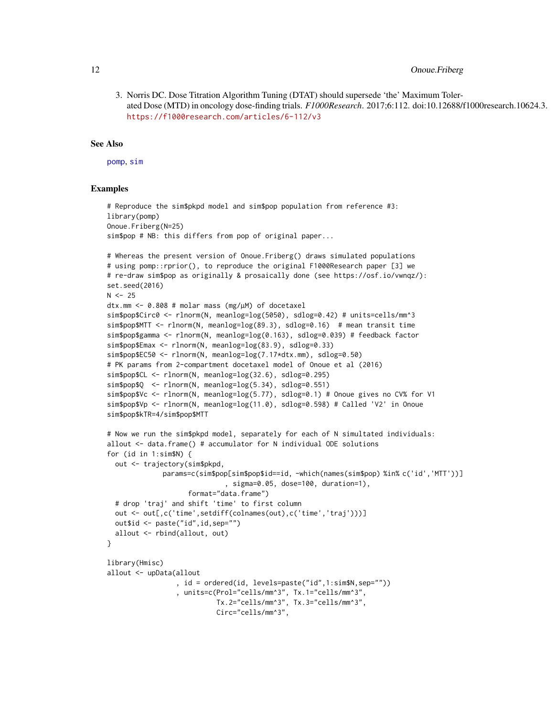# <span id="page-11-0"></span>12 Onoue.Friberg

3. Norris DC. Dose Titration Algorithm Tuning (DTAT) should supersede 'the' Maximum Tolerated Dose (MTD) in oncology dose-finding trials. *F1000Research*. 2017;6:112. doi:10.12688/f1000research.10624.3. <https://f1000research.com/articles/6-112/v3>

#### See Also

[pomp](#page-0-0), [sim](#page-15-1)

```
# Reproduce the sim$pkpd model and sim$pop population from reference #3:
library(pomp)
Onoue.Friberg(N=25)
sim$pop # NB: this differs from pop of original paper...
# Whereas the present version of Onoue.Friberg() draws simulated populations
# using pomp::rprior(), to reproduce the original F1000Research paper [3] we
# re-draw sim$pop as originally & prosaically done (see https://osf.io/vwnqz/):
set.seed(2016)
N < -25dtx.mm <- 0.808 # molar mass (mg/µM) of docetaxel
sim$pop$Circ0 <- rlnorm(N, meanlog=log(5050), sdlog=0.42) # units=cells/mm^3
sim$pop$MTT <- rlnorm(N, meanlog=log(89.3), sdlog=0.16) # mean transit time
sim$pop$gamma <- rlnorm(N, meanlog=log(0.163), sdlog=0.039) # feedback factor
sim$pop$Emax <- rlnorm(N, meanlog=log(83.9), sdlog=0.33)
sim$pop$EC50 <- rlnorm(N, meanlog=log(7.17*dtx.mm), sdlog=0.50)
# PK params from 2-compartment docetaxel model of Onoue et al (2016)
sim$pop$CL <- rlnorm(N, meanlog=log(32.6), sdlog=0.295)
sim$pop$Q <- rlnorm(N, meanlog=log(5.34), sdlog=0.551)
sim$pop$Vc <- rlnorm(N, meanlog=log(5.77), sdlog=0.1) # Onoue gives no CV% for V1
sim$pop$Vp <- rlnorm(N, meanlog=log(11.0), sdlog=0.598) # Called 'V2' in Onoue
sim$pop$kTR=4/sim$pop$MTT
# Now we run the sim$pkpd model, separately for each of N simultated individuals:
allout <- data.frame() # accumulator for N individual ODE solutions
for (id in 1:sim$N) {
 out <- trajectory(sim$pkpd,
             params=c(sim$pop[sim$pop$id==id, -which(names(sim$pop) %in% c('id','MTT'))]
                             , sigma=0.05, dose=100, duration=1),
                    format="data.frame")
 # drop 'traj' and shift 'time' to first column
 out <- out[,c('time',setdiff(colnames(out),c('time','traj')))]
 out$id <- paste("id",id,sep="")
 allout <- rbind(allout, out)
}
library(Hmisc)
allout <- upData(allout
                 , id = ordered(id, levels=paste("id",1:sim$N,sep=""))
                 , units=c(Prol="cells/mm^3", Tx.1="cells/mm^3",
                           Tx.2="cells/mm^3", Tx.3="cells/mm^3",
                           Circ="cells/mm^3",
```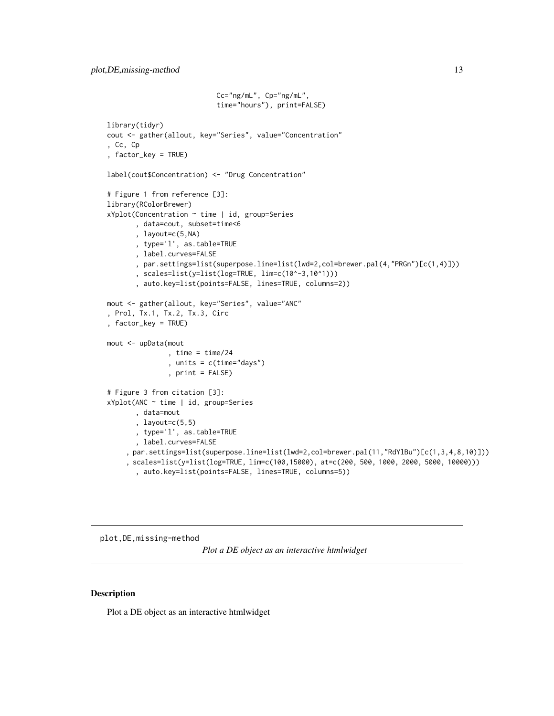```
Cc="ng/mL", Cp="ng/mL",
                           time="hours"), print=FALSE)
library(tidyr)
cout <- gather(allout, key="Series", value="Concentration"
, Cc, Cp
, factor_key = TRUE)
label(cout$Concentration) <- "Drug Concentration"
# Figure 1 from reference [3]:
library(RColorBrewer)
xYplot(Concentration ~ time | id, group=Series
       , data=cout, subset=time<6
       , layout=c(5,NA)
       , type='l', as.table=TRUE
       , label.curves=FALSE
       , par.settings=list(superpose.line=list(lwd=2,col=brewer.pal(4,"PRGn")[c(1,4)]))
       , scales=list(y=list(log=TRUE, lim=c(10^-3,10^1)))
       , auto.key=list(points=FALSE, lines=TRUE, columns=2))
mout <- gather(allout, key="Series", value="ANC"
, Prol, Tx.1, Tx.2, Tx.3, Circ
, factor_key = TRUE)
mout <- upData(mout
               , time = time/24
               , units = c(time="days")
               , print = FALSE)
# Figure 3 from citation [3]:
xYplot(ANC ~ time | id, group=Series
       , data=mout
       , layout=c(5,5)
       , type='l', as.table=TRUE
       , label.curves=FALSE
    , par.settings=list(superpose.line=list(lwd=2,col=brewer.pal(11,"RdYlBu")[c(1,3,4,8,10)]))
    , scales=list(y=list(log=TRUE, lim=c(100,15000), at=c(200, 500, 1000, 2000, 5000, 10000)))
       , auto.key=list(points=FALSE, lines=TRUE, columns=5))
```
plot,DE,missing-method

*Plot a DE object as an interactive htmlwidget*

#### Description

Plot a DE object as an interactive htmlwidget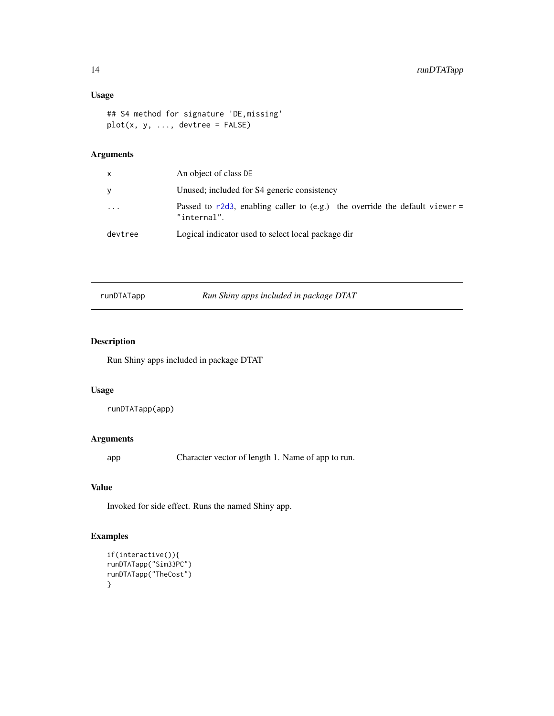# <span id="page-13-0"></span>Usage

```
## S4 method for signature 'DE,missing'
plot(x, y, ..., devtree = FALSE)
```
# Arguments

| x         | An object of class DE                                                                         |
|-----------|-----------------------------------------------------------------------------------------------|
| v         | Unused; included for S4 generic consistency                                                   |
| $\ddotsc$ | Passed to $r2d3$ , enabling caller to (e.g.) the override the default viewer =<br>"internal". |
| devtree   | Logical indicator used to select local package dir                                            |
|           |                                                                                               |

| runDTATapp | Run Shiny apps included in package DTAT |  |
|------------|-----------------------------------------|--|
|            |                                         |  |

# Description

Run Shiny apps included in package DTAT

# Usage

```
runDTATapp(app)
```
# Arguments

app Character vector of length 1. Name of app to run.

# Value

Invoked for side effect. Runs the named Shiny app.

```
if(interactive()){
runDTATapp("Sim33PC")
runDTATapp("TheCost")
}
```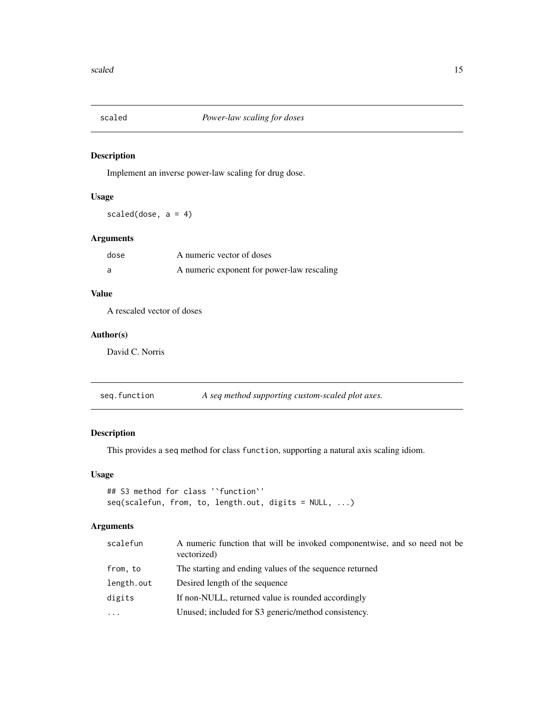<span id="page-14-0"></span>

# Description

Implement an inverse power-law scaling for drug dose.

# Usage

scaled(dose,  $a = 4$ )

# Arguments

| dose | A numeric vector of doses                  |
|------|--------------------------------------------|
|      | A numeric exponent for power-law rescaling |

# Value

A rescaled vector of doses

# Author(s)

David C. Norris

# Description

This provides a seq method for class function, supporting a natural axis scaling idiom.

# Usage

```
## S3 method for class '`function`'
seq(scalefun, from, to, length.out, digits = NULL, ...)
```
# Arguments

| scalefun   | A numeric function that will be invoked componentwise, and so need not be<br>vectorized) |
|------------|------------------------------------------------------------------------------------------|
| from, to   | The starting and ending values of the sequence returned                                  |
| length.out | Desired length of the sequence                                                           |
| digits     | If non-NULL, returned value is rounded accordingly                                       |
| $\ddots$ . | Unused; included for S3 generic/method consistency.                                      |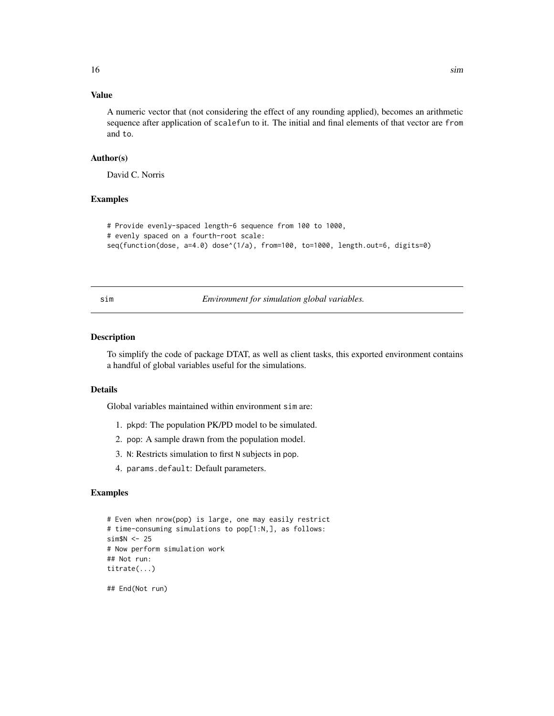# <span id="page-15-0"></span>Value

A numeric vector that (not considering the effect of any rounding applied), becomes an arithmetic sequence after application of scalefun to it. The initial and final elements of that vector are from and to.

#### Author(s)

David C. Norris

# Examples

```
# Provide evenly-spaced length-6 sequence from 100 to 1000,
# evenly spaced on a fourth-root scale:
seq(function(dose, a=4.0) dose^(1/a), from=100, to=1000, length.out=6, digits=0)
```
<span id="page-15-1"></span>

sim *Environment for simulation global variables.*

# Description

To simplify the code of package DTAT, as well as client tasks, this exported environment contains a handful of global variables useful for the simulations.

### Details

Global variables maintained within environment sim are:

- 1. pkpd: The population PK/PD model to be simulated.
- 2. pop: A sample drawn from the population model.
- 3. N: Restricts simulation to first N subjects in pop.
- 4. params.default: Default parameters.

```
# Even when nrow(pop) is large, one may easily restrict
# time-consuming simulations to pop[1:N,], as follows:
sim$N <- 25
# Now perform simulation work
## Not run:
titrate(...)
## End(Not run)
```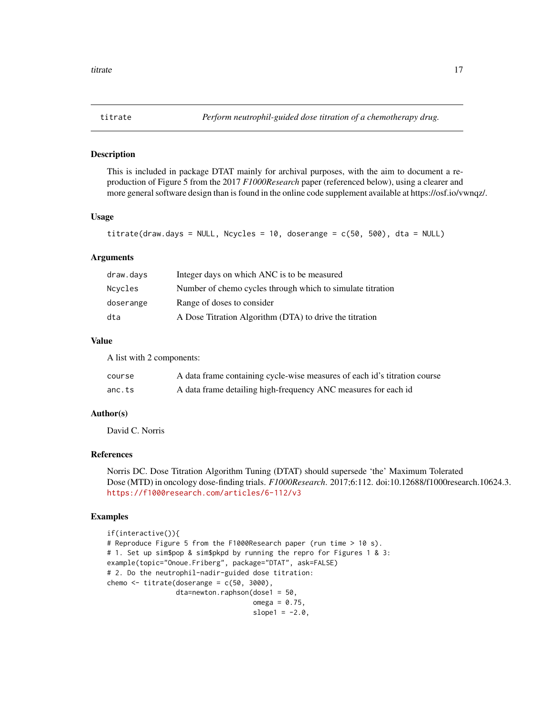<span id="page-16-1"></span><span id="page-16-0"></span>

## Description

This is included in package DTAT mainly for archival purposes, with the aim to document a reproduction of Figure 5 from the 2017 *F1000Research* paper (referenced below), using a clearer and more general software design than is found in the online code supplement available at https://osf.io/vwnqz/.

#### Usage

```
titrate(draw.days = NULL, Ncycles = 10, doserange = c(50, 500), dta = NULL)
```
#### Arguments

| draw.days | Integer days on which ANC is to be measured                |
|-----------|------------------------------------------------------------|
| Ncycles   | Number of chemo cycles through which to simulate titration |
| doserange | Range of doses to consider                                 |
| dta       | A Dose Titration Algorithm (DTA) to drive the titration    |

#### Value

A list with 2 components:

| course | A data frame containing cycle-wise measures of each id's titration course |
|--------|---------------------------------------------------------------------------|
| anc.ts | A data frame detailing high-frequency ANC measures for each id            |

# Author(s)

David C. Norris

#### References

Norris DC. Dose Titration Algorithm Tuning (DTAT) should supersede 'the' Maximum Tolerated Dose (MTD) in oncology dose-finding trials. *F1000Research*. 2017;6:112. doi:10.12688/f1000research.10624.3. <https://f1000research.com/articles/6-112/v3>

```
if(interactive()){
# Reproduce Figure 5 from the F1000Research paper (run time > 10 s).
# 1. Set up sim$pop & sim$pkpd by running the repro for Figures 1 & 3:
example(topic="Onoue.Friberg", package="DTAT", ask=FALSE)
# 2. Do the neutrophil-nadir-guided dose titration:
chemo \le titrate(doserange = c(50, 3000),
                 dta=newton.raphson(dose1 = 50,
                                    omega = 0.75,
                                    slope1 = -2.0,
```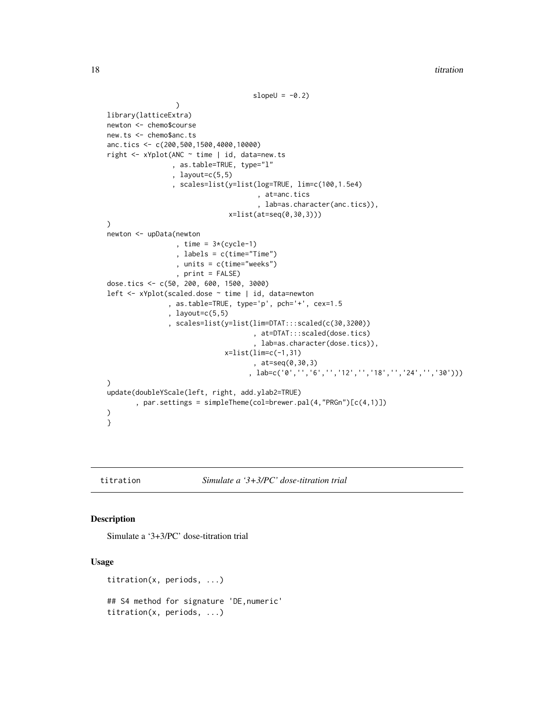```
slopeU = -0.2\lambdalibrary(latticeExtra)
newton <- chemo$course
new.ts <- chemo$anc.ts
anc.tics <- c(200,500,1500,4000,10000)
right <- xYplot(ANC ~ time | id, data=new.ts
                , as.table=TRUE, type="l"
                , layout=c(5,5)
                , scales=list(y=list(log=TRUE, lim=c(100,1.5e4)
                                      , at=anc.tics
                                      , lab=as.character(anc.tics)),
                              x=list(at=seq(0,30,3)))
)
newton <- upData(newton
                 , time = 3*(cycle-1), labels = c(time="Time")
                 , units = c(time="weeks")
                 , print = FALSE)
dose.tics <- c(50, 200, 600, 1500, 3000)
left <- xYplot(scaled.dose ~ time | id, data=newton
               , as.table=TRUE, type='p', pch='+', cex=1.5
               , layout=c(5,5)
               , scales=list(y=list(lim=DTAT:::scaled(c(30,3200))
                                    , at=DTAT:::scaled(dose.tics)
                                     , lab=as.character(dose.tics)),
                             x=list(lim=c(-1,31)
                                     , at=seq(0,30,3)
                                    , lab=c('0','','6','','12','','18','','24','','30')))
)
update(doubleYScale(left, right, add.ylab2=TRUE)
       , par.settings = simpleTheme(col=brewer.pal(4,"PRGn")[c(4,1)])
)
}
```
titration *Simulate a '3+3/PC' dose-titration trial*

#### Description

Simulate a '3+3/PC' dose-titration trial

# Usage

```
titration(x, periods, ...)
## S4 method for signature 'DE,numeric'
titration(x, periods, ...)
```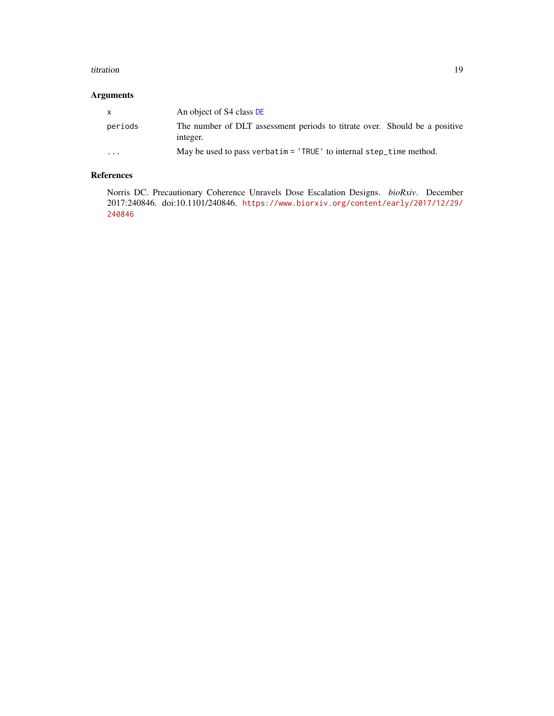#### <span id="page-18-0"></span>titration and the contract of the contract of the contract of the contract of the contract of the contract of the contract of the contract of the contract of the contract of the contract of the contract of the contract of

# Arguments

| $\mathsf{x}$            | An object of S4 class DE                                                               |
|-------------------------|----------------------------------------------------------------------------------------|
| periods                 | The number of DLT assessment periods to titrate over. Should be a positive<br>integer. |
| $\cdot$ $\cdot$ $\cdot$ | May be used to pass verbatim = $'$ TRUE' to internal step_time method.                 |

# References

Norris DC. Precautionary Coherence Unravels Dose Escalation Designs. *bioRxiv*. December 2017:240846. doi:10.1101/240846. [https://www.biorxiv.org/content/early/2017/12/29/](https://www.biorxiv.org/content/early/2017/12/29/240846) [240846](https://www.biorxiv.org/content/early/2017/12/29/240846)